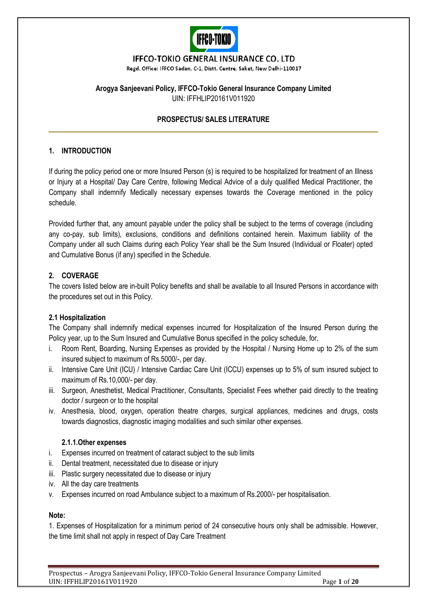

# **IFFCO-TOKIO GENERAL INSURANCE CO. LTD**

Regd. Office: IFFCO Sadan, C-1, Distt. Centre, Saket, New Delhi-110017

# **Arogya Sanjeevani Policy, IFFCO-Tokio General Insurance Company Limited** UIN: IFFHLIP20161V011920

# **PROSPECTUS/ SALES LITERATURE**

# **1. INTRODUCTION**

If during the policy period one or more Insured Person (s) is required to be hospitalized for treatment of an Illness or Injury at a Hospital/ Day Care Centre, following Medical Advice of a duly qualified Medical Practitioner, the Company shall indemnify Medically necessary expenses towards the Coverage mentioned in the policy schedule.

Provided further that, any amount payable under the policy shall be subject to the terms of coverage (including any co-pay, sub limits), exclusions, conditions and definitions contained herein. Maximum liability of the Company under all such Claims during each Policy Year shall be the Sum Insured (Individual or Floater) opted and Cumulative Bonus (if any) specified in the Schedule.

# **2. COVERAGE**

The covers listed below are in-built Policy benefits and shall be available to all Insured Persons in accordance with the procedures set out in this Policy.

# **2.1 Hospitalization**

The Company shall indemnify medical expenses incurred for Hospitalization of the Insured Person during the Policy year, up to the Sum Insured and Cumulative Bonus specified in the policy schedule, for,

- i. Room Rent, Boarding, Nursing Expenses as provided by the Hospital / Nursing Home up to 2% of the sum insured subject to maximum of Rs.5000/-, per day.
- ii. Intensive Care Unit (ICU) / Intensive Cardiac Care Unit (ICCU) expenses up to 5% of sum insured subject to maximum of Rs.10,000/- per day.
- iii. Surgeon, Anesthetist, Medical Practitioner, Consultants, Specialist Fees whether paid directly to the treating doctor / surgeon or to the hospital
- iv. Anesthesia, blood, oxygen, operation theatre charges, surgical appliances, medicines and drugs, costs towards diagnostics, diagnostic imaging modalities and such similar other expenses.

# **2.1.1.Other expenses**

- i. Expenses incurred on treatment of cataract subject to the sub limits
- ii. Dental treatment, necessitated due to disease or injury
- iii. Plastic surgery necessitated due to disease or injury
- iv. All the day care treatments
- v. Expenses incurred on road Ambulance subject to a maximum of Rs.2000/- per hospitalisation.

# **Note:**

1. Expenses of Hospitalization for a minimum period of 24 consecutive hours only shall be admissible. However, the time limit shall not apply in respect of Day Care Treatment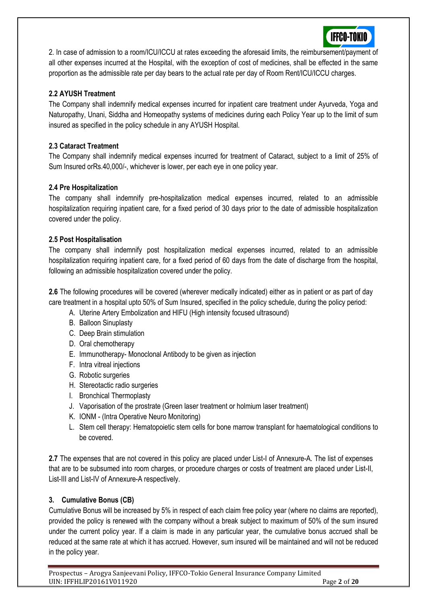

2. In case of admission to a room/ICU/ICCU at rates exceeding the aforesaid limits, the reimbursement/payment of all other expenses incurred at the Hospital, with the exception of cost of medicines, shall be effected in the same proportion as the admissible rate per day bears to the actual rate per day of Room Rent/ICU/ICCU charges.

# **2.2 AYUSH Treatment**

The Company shall indemnify medical expenses incurred for inpatient care treatment under Ayurveda, Yoga and Naturopathy, Unani, Siddha and Homeopathy systems of medicines during each Policy Year up to the limit of sum insured as specified in the policy schedule in any AYUSH Hospital.

# **2.3 Cataract Treatment**

The Company shall indemnify medical expenses incurred for treatment of Cataract, subject to a limit of 25% of Sum Insured orRs.40,000/-, whichever is lower, per each eye in one policy year.

# **2.4 Pre Hospitalization**

The company shall indemnify pre-hospitalization medical expenses incurred, related to an admissible hospitalization requiring inpatient care, for a fixed period of 30 days prior to the date of admissible hospitalization covered under the policy.

# **2.5 Post Hospitalisation**

The company shall indemnify post hospitalization medical expenses incurred, related to an admissible hospitalization requiring inpatient care, for a fixed period of 60 days from the date of discharge from the hospital, following an admissible hospitalization covered under the policy.

**2.6** The following procedures will be covered (wherever medically indicated) either as in patient or as part of day care treatment in a hospital upto 50% of Sum Insured, specified in the policy schedule, during the policy period:

- A. Uterine Artery Embolization and HIFU (High intensity focused ultrasound)
- B. Balloon Sinuplasty
- C. Deep Brain stimulation
- D. Oral chemotherapy
- E. Immunotherapy- Monoclonal Antibody to be given as injection
- F. Intra vitreal injections
- G. Robotic surgeries
- H. Stereotactic radio surgeries
- I. Bronchical Thermoplasty
- J. Vaporisation of the prostrate (Green laser treatment or holmium laser treatment)
- K. IONM (Intra Operative Neuro Monitoring)
- L. Stem cell therapy: Hematopoietic stem cells for bone marrow transplant for haematological conditions to be covered.

**2.7** The expenses that are not covered in this policy are placed under List-I of Annexure-A. The list of expenses that are to be subsumed into room charges, or procedure charges or costs of treatment are placed under List-II, List-III and List-IV of Annexure-A respectively.

# **3. Cumulative Bonus (CB)**

Cumulative Bonus will be increased by 5% in respect of each claim free policy year (where no claims are reported), provided the policy is renewed with the company without a break subject to maximum of 50% of the sum insured under the current policy year. If a claim is made in any particular year, the cumulative bonus accrued shall be reduced at the same rate at which it has accrued. However, sum insured will be maintained and will not be reduced in the policy year.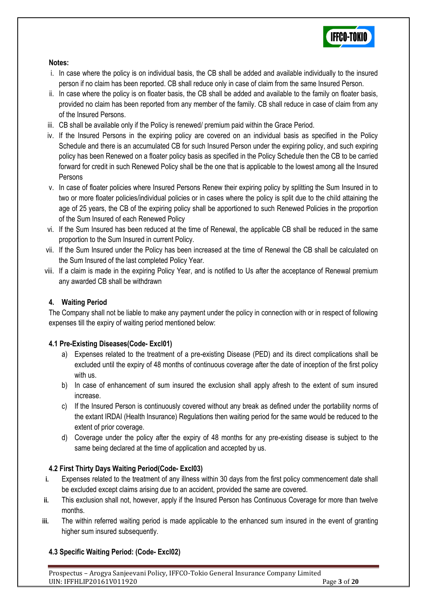

# **Notes:**

- i. In case where the policy is on individual basis, the CB shall be added and available individually to the insured person if no claim has been reported. CB shall reduce only in case of claim from the same Insured Person.
- ii. In case where the policy is on floater basis, the CB shall be added and available to the family on floater basis, provided no claim has been reported from any member of the family. CB shall reduce in case of claim from any of the Insured Persons.
- iii. CB shall be available only if the Policy is renewed/ premium paid within the Grace Period.
- iv. If the Insured Persons in the expiring policy are covered on an individual basis as specified in the Policy Schedule and there is an accumulated CB for such Insured Person under the expiring policy, and such expiring policy has been Renewed on a floater policy basis as specified in the Policy Schedule then the CB to be carried forward for credit in such Renewed Policy shall be the one that is applicable to the lowest among all the Insured Persons
- v. In case of floater policies where Insured Persons Renew their expiring policy by splitting the Sum Insured in to two or more floater policies/individual policies or in cases where the policy is split due to the child attaining the age of 25 years, the CB of the expiring policy shall be apportioned to such Renewed Policies in the proportion of the Sum Insured of each Renewed Policy
- vi. If the Sum Insured has been reduced at the time of Renewal, the applicable CB shall be reduced in the same proportion to the Sum Insured in current Policy.
- vii. If the Sum Insured under the Policy has been increased at the time of Renewal the CB shall be calculated on the Sum Insured of the last completed Policy Year.
- viii. If a claim is made in the expiring Policy Year, and is notified to Us after the acceptance of Renewal premium any awarded CB shall be withdrawn

# **4. Waiting Period**

The Company shall not be liable to make any payment under the policy in connection with or in respect of following expenses till the expiry of waiting period mentioned below:

# **4.1 Pre-Existing Diseases(Code- Excl01)**

- a) Expenses related to the treatment of a pre-existing Disease (PED) and its direct complications shall be excluded until the expiry of 48 months of continuous coverage after the date of inception of the first policy with us.
- b) In case of enhancement of sum insured the exclusion shall apply afresh to the extent of sum insured increase.
- c) If the Insured Person is continuously covered without any break as defined under the portability norms of the extant IRDAI (Health Insurance) Regulations then waiting period for the same would be reduced to the extent of prior coverage.
- d) Coverage under the policy after the expiry of 48 months for any pre-existing disease is subject to the same being declared at the time of application and accepted by us.

# **4.2 First Thirty Days Waiting Period(Code- Excl03)**

- **i.** Expenses related to the treatment of any illness within 30 days from the first policy commencement date shall be excluded except claims arising due to an accident, provided the same are covered.
- **ii.** This exclusion shall not, however, apply if the Insured Person has Continuous Coverage for more than twelve months.
- **iii.** The within referred waiting period is made applicable to the enhanced sum insured in the event of granting higher sum insured subsequently.

# **4.3 Specific Waiting Period: (Code- Excl02)**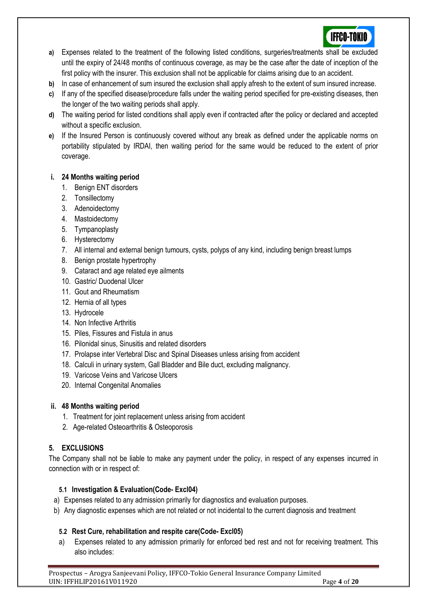

- **a)** Expenses related to the treatment of the following listed conditions, surgeries/treatments shall be excluded until the expiry of 24/48 months of continuous coverage, as may be the case after the date of inception of the first policy with the insurer. This exclusion shall not be applicable for claims arising due to an accident.
- **b)** In case of enhancement of sum insured the exclusion shall apply afresh to the extent of sum insured increase.
- **c)** If any of the specified disease/procedure falls under the waiting period specified for pre-existing diseases, then the longer of the two waiting periods shall apply.
- **d)** The waiting period for listed conditions shall apply even if contracted after the policy or declared and accepted without a specific exclusion.
- **e)** If the Insured Person is continuously covered without any break as defined under the applicable norms on portability stipulated by IRDAI, then waiting period for the same would be reduced to the extent of prior coverage.

# **i. 24 Months waiting period**

- 1. Benign ENT disorders
- 2. Tonsillectomy
- 3. Adenoidectomy
- 4. Mastoidectomy
- 5. Tympanoplasty
- 6. Hysterectomy
- 7. All internal and external benign tumours, cysts, polyps of any kind, including benign breast lumps
- 8. Benign prostate hypertrophy
- 9. Cataract and age related eye ailments
- 10. Gastric/ Duodenal Ulcer
- 11. Gout and Rheumatism
- 12. Hernia of all types
- 13. Hydrocele
- 14. Non Infective Arthritis
- 15. Piles, Fissures and Fistula in anus
- 16. Pilonidal sinus, Sinusitis and related disorders
- 17. Prolapse inter Vertebral Disc and Spinal Diseases unless arising from accident
- 18. Calculi in urinary system, Gall Bladder and Bile duct, excluding malignancy.
- 19. Varicose Veins and Varicose Ulcers
- 20. Internal Congenital Anomalies

# **ii. 48 Months waiting period**

- 1. Treatment for joint replacement unless arising from accident
- 2. Age-related Osteoarthritis & Osteoporosis

# **5. EXCLUSIONS**

The Company shall not be liable to make any payment under the policy, in respect of any expenses incurred in connection with or in respect of:

# **5.1 Investigation & Evaluation(Code- Excl04)**

- a) Expenses related to any admission primarily for diagnostics and evaluation purposes.
- b) Any diagnostic expenses which are not related or not incidental to the current diagnosis and treatment

# **5.2 Rest Cure, rehabilitation and respite care(Code- Excl05)**

a) Expenses related to any admission primarily for enforced bed rest and not for receiving treatment. This also includes: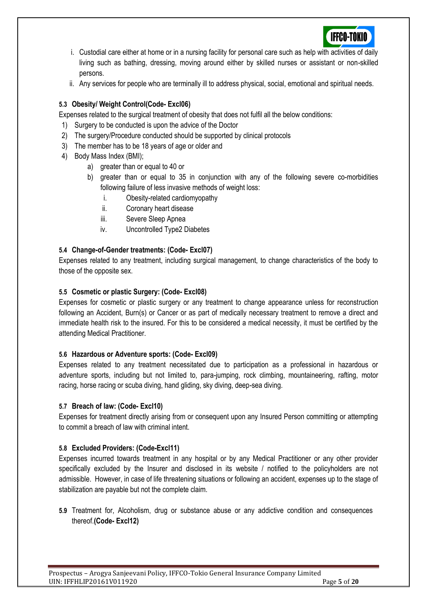

- i. Custodial care either at home or in a nursing facility for personal care such as help with activities of daily living such as bathing, dressing, moving around either by skilled nurses or assistant or non-skilled persons.
- ii. Any services for people who are terminally ill to address physical, social, emotional and spiritual needs.

# **5.3 Obesity/ Weight Control(Code- Excl06)**

Expenses related to the surgical treatment of obesity that does not fulfil all the below conditions:

- 1) Surgery to be conducted is upon the advice of the Doctor
- 2) The surgery/Procedure conducted should be supported by clinical protocols
- 3) The member has to be 18 years of age or older and
- 4) Body Mass Index (BMI);
	- a) greater than or equal to 40 or
	- b) greater than or equal to 35 in conjunction with any of the following severe co-morbidities following failure of less invasive methods of weight loss:
		- i. Obesity-related cardiomyopathy
		- ii. Coronary heart disease
		- iii. Severe Sleep Apnea
		- iv. Uncontrolled Type2 Diabetes

# **5.4 Change-of-Gender treatments: (Code- Excl07)**

Expenses related to any treatment, including surgical management, to change characteristics of the body to those of the opposite sex.

# **5.5 Cosmetic or plastic Surgery: (Code- Excl08)**

Expenses for cosmetic or plastic surgery or any treatment to change appearance unless for reconstruction following an Accident, Burn(s) or Cancer or as part of medically necessary treatment to remove a direct and immediate health risk to the insured. For this to be considered a medical necessity, it must be certified by the attending Medical Practitioner.

# **5.6 Hazardous or Adventure sports: (Code- Excl09)**

Expenses related to any treatment necessitated due to participation as a professional in hazardous or adventure sports, including but not limited to, para-jumping, rock climbing, mountaineering, rafting, motor racing, horse racing or scuba diving, hand gliding, sky diving, deep-sea diving.

# **5.7 Breach of law: (Code- Excl10)**

Expenses for treatment directly arising from or consequent upon any Insured Person committing or attempting to commit a breach of law with criminal intent.

# **5.8 Excluded Providers: (Code-Excl11)**

Expenses incurred towards treatment in any hospital or by any Medical Practitioner or any other provider specifically excluded by the Insurer and disclosed in its website / notified to the policyholders are not admissible. However, in case of life threatening situations or following an accident, expenses up to the stage of stabilization are payable but not the complete claim.

**5.9** Treatment for, Alcoholism, drug or substance abuse or any addictive condition and consequences thereof.**(Code- Excl12)**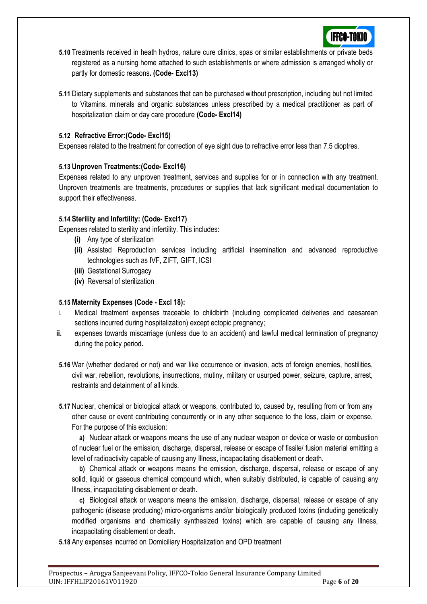

- **5.10** Treatments received in heath hydros, nature cure clinics, spas or similar establishments or private beds registered as a nursing home attached to such establishments or where admission is arranged wholly or partly for domestic reasons**. (Code- Excl13)**
- **5.11** Dietary supplements and substances that can be purchased without prescription, including but not limited to Vitamins, minerals and organic substances unless prescribed by a medical practitioner as part of hospitalization claim or day care procedure **(Code- Excl14)**

# **5.12 Refractive Error:(Code- Excl15)**

Expenses related to the treatment for correction of eye sight due to refractive error less than 7.5 dioptres.

# **5.13 Unproven Treatments:(Code- Excl16)**

Expenses related to any unproven treatment, services and supplies for or in connection with any treatment. Unproven treatments are treatments, procedures or supplies that lack significant medical documentation to support their effectiveness.

# **5.14 Sterility and Infertility: (Code- Excl17)**

Expenses related to sterility and infertility. This includes:

- **(i)** Any type of sterilization
- **(ii)** Assisted Reproduction services including artificial insemination and advanced reproductive technologies such as IVF, ZIFT, GIFT, ICSI
- **(iii)** Gestational Surrogacy
- **(iv)** Reversal of sterilization

# **5.15 Maternity Expenses (Code - Excl 18):**

- i. Medical treatment expenses traceable to childbirth (including complicated deliveries and caesarean sections incurred during hospitalization) except ectopic pregnancy;
- **ii.** expenses towards miscarriage (unless due to an accident) and lawful medical termination of pregnancy during the policy period**.**
- **5.16** War (whether declared or not) and war like occurrence or invasion, acts of foreign enemies, hostilities, civil war, rebellion, revolutions, insurrections, mutiny, military or usurped power, seizure, capture, arrest, restraints and detainment of all kinds.
- **5.17** Nuclear, chemical or biological attack or weapons, contributed to, caused by, resulting from or from any other cause or event contributing concurrently or in any other sequence to the loss, claim or expense. For the purpose of this exclusion:

**a)** Nuclear attack or weapons means the use of any nuclear weapon or device or waste or combustion of nuclear fuel or the emission, discharge, dispersal, release or escape of fissile/ fusion material emitting a level of radioactivity capable of causing any Illness, incapacitating disablement or death.

**b)** Chemical attack or weapons means the emission, discharge, dispersal, release or escape of any solid, liquid or gaseous chemical compound which, when suitably distributed, is capable of causing any Illness, incapacitating disablement or death.

**c)** Biological attack or weapons means the emission, discharge, dispersal, release or escape of any pathogenic (disease producing) micro-organisms and/or biologically produced toxins (including genetically modified organisms and chemically synthesized toxins) which are capable of causing any Illness, incapacitating disablement or death.

**5.18** Any expenses incurred on Domiciliary Hospitalization and OPD treatment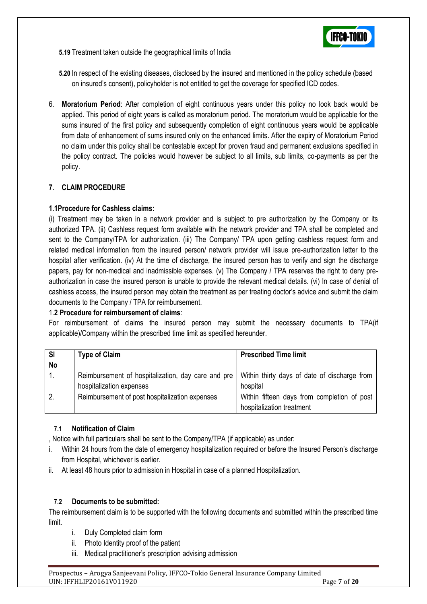

**5.19** Treatment taken outside the geographical limits of India

**5.20** In respect of the existing diseases, disclosed by the insured and mentioned in the policy schedule (based on insured's consent), policyholder is not entitled to get the coverage for specified ICD codes.

6. **Moratorium Period**: After completion of eight continuous years under this policy no look back would be applied. This period of eight years is called as moratorium period. The moratorium would be applicable for the sums insured of the first policy and subsequently completion of eight continuous years would be applicable from date of enhancement of sums insured only on the enhanced limits. After the expiry of Moratorium Period no claim under this policy shall be contestable except for proven fraud and permanent exclusions specified in the policy contract. The policies would however be subject to all limits, sub limits, co-payments as per the policy.

# **7. CLAIM PROCEDURE**

# **1.1Procedure for Cashless claims:**

(i) Treatment may be taken in a network provider and is subject to pre authorization by the Company or its authorized TPA. (ii) Cashless request form available with the network provider and TPA shall be completed and sent to the Company/TPA for authorization. (iii) The Company/ TPA upon getting cashless request form and related medical information from the insured person/ network provider will issue pre-authorization letter to the hospital after verification. (iv) At the time of discharge, the insured person has to verify and sign the discharge papers, pay for non-medical and inadmissible expenses. (v) The Company / TPA reserves the right to deny preauthorization in case the insured person is unable to provide the relevant medical details. (vi) In case of denial of cashless access, the insured person may obtain the treatment as per treating doctor's advice and submit the claim documents to the Company / TPA for reimbursement.

# 1.**2 Procedure for reimbursement of claims**:

For reimbursement of claims the insured person may submit the necessary documents to TPA(if applicable)/Company within the prescribed time limit as specified hereunder.

| <b>SI</b>        | <b>Type of Claim</b>                                                                              | <b>Prescribed Time limit</b>                |  |  |  |  |  |
|------------------|---------------------------------------------------------------------------------------------------|---------------------------------------------|--|--|--|--|--|
| <b>No</b>        |                                                                                                   |                                             |  |  |  |  |  |
| $\overline{1}$ . | Reimbursement of hospitalization, day care and pre   Within thirty days of date of discharge from |                                             |  |  |  |  |  |
|                  | hospitalization expenses                                                                          | hospital                                    |  |  |  |  |  |
| 2.               | Reimbursement of post hospitalization expenses                                                    | Within fifteen days from completion of post |  |  |  |  |  |
|                  |                                                                                                   | hospitalization treatment                   |  |  |  |  |  |

# **7.1 Notification of Claim**

, Notice with full particulars shall be sent to the Company/TPA (if applicable) as under:

- i. Within 24 hours from the date of emergency hospitalization required or before the Insured Person's discharge from Hospital, whichever is earlier.
- ii. At least 48 hours prior to admission in Hospital in case of a planned Hospitalization.

# **7.2 Documents to be submitted:**

The reimbursement claim is to be supported with the following documents and submitted within the prescribed time limit.

- i. Duly Completed claim form
- ii. Photo Identity proof of the patient
- iii. Medical practitioner's prescription advising admission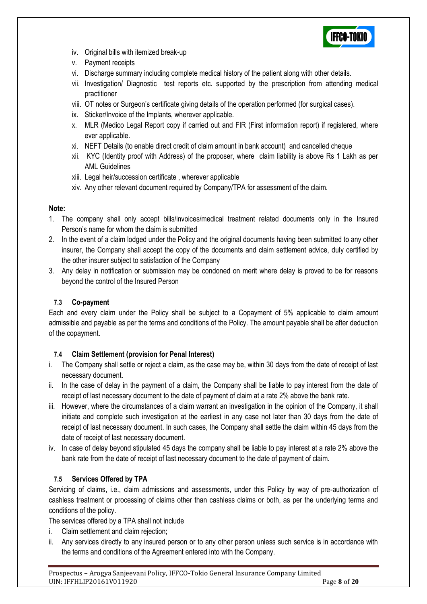

- iv. Original bills with itemized break-up
- v. Payment receipts
- vi. Discharge summary including complete medical history of the patient along with other details.
- vii. Investigation/ Diagnostic test reports etc. supported by the prescription from attending medical practitioner
- viii. OT notes or Surgeon's certificate giving details of the operation performed (for surgical cases).
- ix. Sticker/Invoice of the Implants, wherever applicable.
- x. MLR (Medico Legal Report copy if carried out and FIR (First information report) if registered, where ever applicable.
- xi. NEFT Details (to enable direct credit of claim amount in bank account) and cancelled cheque
- xii. KYC (Identity proof with Address) of the proposer, where claim liability is above Rs 1 Lakh as per AML Guidelines
- xiii. Legal heir/succession certificate , wherever applicable
- xiv. Any other relevant document required by Company/TPA for assessment of the claim.

# **Note:**

- 1. The company shall only accept bills/invoices/medical treatment related documents only in the Insured Person's name for whom the claim is submitted
- 2. In the event of a claim lodged under the Policy and the original documents having been submitted to any other insurer, the Company shall accept the copy of the documents and claim settlement advice, duly certified by the other insurer subject to satisfaction of the Company
- 3. Any delay in notification or submission may be condoned on merit where delay is proved to be for reasons beyond the control of the Insured Person

# **7.3 Co-payment**

Each and every claim under the Policy shall be subject to a Copayment of 5% applicable to claim amount admissible and payable as per the terms and conditions of the Policy. The amount payable shall be after deduction of the copayment.

# **7.4 Claim Settlement (provision for Penal Interest)**

- i. The Company shall settle or reject a claim, as the case may be, within 30 days from the date of receipt of last necessary document.
- ii. In the case of delay in the payment of a claim, the Company shall be liable to pay interest from the date of receipt of last necessary document to the date of payment of claim at a rate 2% above the bank rate.
- iii. However, where the circumstances of a claim warrant an investigation in the opinion of the Company, it shall initiate and complete such investigation at the earliest in any case not later than 30 days from the date of receipt of last necessary document. In such cases, the Company shall settle the claim within 45 days from the date of receipt of last necessary document.
- iv. In case of delay beyond stipulated 45 days the company shall be liable to pay interest at a rate 2% above the bank rate from the date of receipt of last necessary document to the date of payment of claim.

# **7.5 Services Offered by TPA**

Servicing of claims, i.e., claim admissions and assessments, under this Policy by way of pre-authorization of cashless treatment or processing of claims other than cashless claims or both, as per the underlying terms and conditions of the policy.

The services offered by a TPA shall not include

- i. Claim settlement and claim rejection;
- ii. Any services directly to any insured person or to any other person unless such service is in accordance with the terms and conditions of the Agreement entered into with the Company.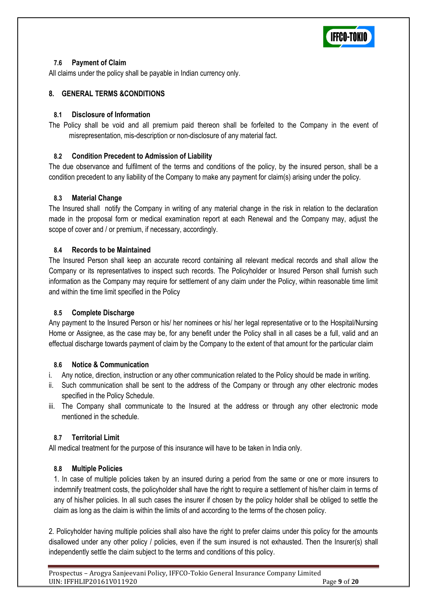

# **7.6 Payment of Claim**

All claims under the policy shall be payable in Indian currency only.

# **8. GENERAL TERMS &CONDITIONS**

# **8.1 Disclosure of Information**

The Policy shall be void and all premium paid thereon shall be forfeited to the Company in the event of misrepresentation, mis-description or non-disclosure of any material fact.

# **8.2 Condition Precedent to Admission of Liability**

The due observance and fulfilment of the terms and conditions of the policy, by the insured person, shall be a condition precedent to any liability of the Company to make any payment for claim(s) arising under the policy.

# **8.3 Material Change**

The Insured shall notify the Company in writing of any material change in the risk in relation to the declaration made in the proposal form or medical examination report at each Renewal and the Company may, adjust the scope of cover and / or premium, if necessary, accordingly.

#### **8.4 Records to be Maintained**

The Insured Person shall keep an accurate record containing all relevant medical records and shall allow the Company or its representatives to inspect such records. The Policyholder or Insured Person shall furnish such information as the Company may require for settlement of any claim under the Policy, within reasonable time limit and within the time limit specified in the Policy

# **8.5 Complete Discharge**

Any payment to the Insured Person or his/ her nominees or his/ her legal representative or to the Hospital/Nursing Home or Assignee, as the case may be, for any benefit under the Policy shall in all cases be a full, valid and an effectual discharge towards payment of claim by the Company to the extent of that amount for the particular claim

# **8.6 Notice & Communication**

- i. Any notice, direction, instruction or any other communication related to the Policy should be made in writing.
- ii. Such communication shall be sent to the address of the Company or through any other electronic modes specified in the Policy Schedule.
- iii. The Company shall communicate to the Insured at the address or through any other electronic mode mentioned in the schedule.

# **8.7 Territorial Limit**

All medical treatment for the purpose of this insurance will have to be taken in India only.

# **8.8 Multiple Policies**

1. In case of multiple policies taken by an insured during a period from the same or one or more insurers to indemnify treatment costs, the policyholder shall have the right to require a settlement of his/her claim in terms of any of his/her policies. In all such cases the insurer if chosen by the policy holder shall be obliged to settle the claim as long as the claim is within the limits of and according to the terms of the chosen policy.

2. Policyholder having multiple policies shall also have the right to prefer claims under this policy for the amounts disallowed under any other policy / policies, even if the sum insured is not exhausted. Then the Insurer(s) shall independently settle the claim subject to the terms and conditions of this policy.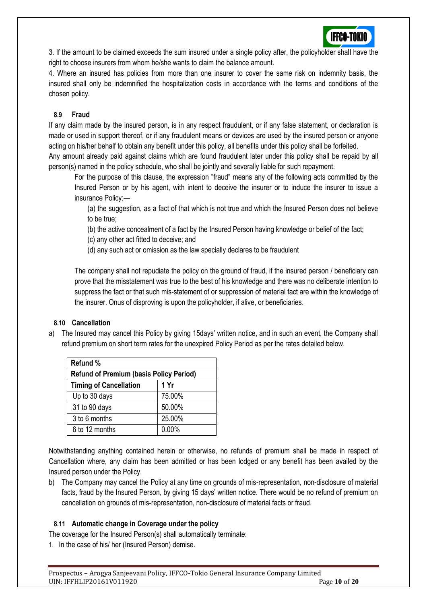

3. If the amount to be claimed exceeds the sum insured under a single policy after, the policyholder shall have the right to choose insurers from whom he/she wants to claim the balance amount.

4. Where an insured has policies from more than one insurer to cover the same risk on indemnity basis, the insured shall only be indemnified the hospitalization costs in accordance with the terms and conditions of the chosen policy.

# **8.9 Fraud**

If any claim made by the insured person, is in any respect fraudulent, or if any false statement, or declaration is made or used in support thereof, or if any fraudulent means or devices are used by the insured person or anyone acting on his/her behalf to obtain any benefit under this policy, all benefits under this policy shall be forfeited.

Any amount already paid against claims which are found fraudulent later under this policy shall be repaid by all person(s) named in the policy schedule, who shall be jointly and severally liable for such repayment.

For the purpose of this clause, the expression "fraud" means any of the following acts committed by the Insured Person or by his agent, with intent to deceive the insurer or to induce the insurer to issue a insurance Policy:—

(a) the suggestion, as a fact of that which is not true and which the Insured Person does not believe to be true;

(b) the active concealment of a fact by the Insured Person having knowledge or belief of the fact;

(c) any other act fitted to deceive; and

(d) any such act or omission as the law specially declares to be fraudulent

The company shall not repudiate the policy on the ground of fraud, if the insured person / beneficiary can prove that the misstatement was true to the best of his knowledge and there was no deliberate intention to suppress the fact or that such mis-statement of or suppression of material fact are within the knowledge of the insurer. Onus of disproving is upon the policyholder, if alive, or beneficiaries.

# **8.10 Cancellation**

a) The Insured may cancel this Policy by giving 15days' written notice, and in such an event, the Company shall refund premium on short term rates for the unexpired Policy Period as per the rates detailed below.

| Refund %                                       |        |  |  |  |  |  |  |  |
|------------------------------------------------|--------|--|--|--|--|--|--|--|
| <b>Refund of Premium (basis Policy Period)</b> |        |  |  |  |  |  |  |  |
| <b>Timing of Cancellation</b>                  | 1 Yr   |  |  |  |  |  |  |  |
| Up to 30 days                                  | 75.00% |  |  |  |  |  |  |  |
| 31 to 90 days                                  | 50.00% |  |  |  |  |  |  |  |
| 3 to 6 months                                  | 25.00% |  |  |  |  |  |  |  |
| 6 to 12 months                                 | 0.00%  |  |  |  |  |  |  |  |

Notwithstanding anything contained herein or otherwise, no refunds of premium shall be made in respect of Cancellation where, any claim has been admitted or has been lodged or any benefit has been availed by the Insured person under the Policy.

b) The Company may cancel the Policy at any time on grounds of mis-representation, non-disclosure of material facts, fraud by the Insured Person, by giving 15 days' written notice. There would be no refund of premium on cancellation on grounds of mis-representation, non-disclosure of material facts or fraud.

# **8.11 Automatic change in Coverage under the policy**

The coverage for the Insured Person(s) shall automatically terminate:

1. In the case of his/ her (Insured Person) demise.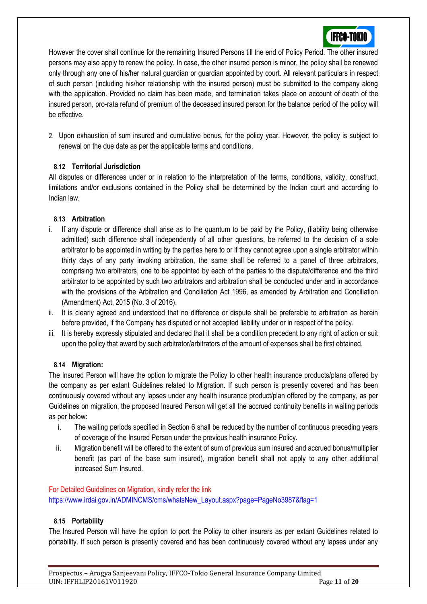

However the cover shall continue for the remaining Insured Persons till the end of Policy Period. The other insured persons may also apply to renew the policy. In case, the other insured person is minor, the policy shall be renewed only through any one of his/her natural guardian or guardian appointed by court. All relevant particulars in respect of such person (including his/her relationship with the insured person) must be submitted to the company along with the application. Provided no claim has been made, and termination takes place on account of death of the insured person, pro-rata refund of premium of the deceased insured person for the balance period of the policy will be effective.

2. Upon exhaustion of sum insured and cumulative bonus, for the policy year. However, the policy is subject to renewal on the due date as per the applicable terms and conditions.

# **8.12 Territorial Jurisdiction**

All disputes or differences under or in relation to the interpretation of the terms, conditions, validity, construct, limitations and/or exclusions contained in the Policy shall be determined by the Indian court and according to Indian law.

# **8.13 Arbitration**

- i. If any dispute or difference shall arise as to the quantum to be paid by the Policy, (liability being otherwise admitted) such difference shall independently of all other questions, be referred to the decision of a sole arbitrator to be appointed in writing by the parties here to or if they cannot agree upon a single arbitrator within thirty days of any party invoking arbitration, the same shall be referred to a panel of three arbitrators, comprising two arbitrators, one to be appointed by each of the parties to the dispute/difference and the third arbitrator to be appointed by such two arbitrators and arbitration shall be conducted under and in accordance with the provisions of the Arbitration and Conciliation Act 1996, as amended by Arbitration and Conciliation (Amendment) Act, 2015 (No. 3 of 2016).
- ii. It is clearly agreed and understood that no difference or dispute shall be preferable to arbitration as herein before provided, if the Company has disputed or not accepted liability under or in respect of the policy.
- iii. It is hereby expressly stipulated and declared that it shall be a condition precedent to any right of action or suit upon the policy that award by such arbitrator/arbitrators of the amount of expenses shall be first obtained.

# **8.14 Migration:**

The Insured Person will have the option to migrate the Policy to other health insurance products/plans offered by the company as per extant Guidelines related to Migration. If such person is presently covered and has been continuously covered without any lapses under any health insurance product/plan offered by the company, as per Guidelines on migration, the proposed Insured Person will get all the accrued continuity benefits in waiting periods as per below:

- i. The waiting periods specified in Section 6 shall be reduced by the number of continuous preceding years of coverage of the Insured Person under the previous health insurance Policy.
- ii. Migration benefit will be offered to the extent of sum of previous sum insured and accrued bonus/multiplier benefit (as part of the base sum insured), migration benefit shall not apply to any other additional increased Sum Insured.

# For Detailed Guidelines on Migration, kindly refer the link [https://www.irdai.gov.in/ADMINCMS/cms/whatsNew\\_Layout.aspx?page=PageNo3987&flag=1](https://www.irdai.gov.in/ADMINCMS/cms/whatsNew_Layout.aspx?page=PageNo3987&flag=1)

# **8.15 Portability**

The Insured Person will have the option to port the Policy to other insurers as per extant Guidelines related to portability. If such person is presently covered and has been continuously covered without any lapses under any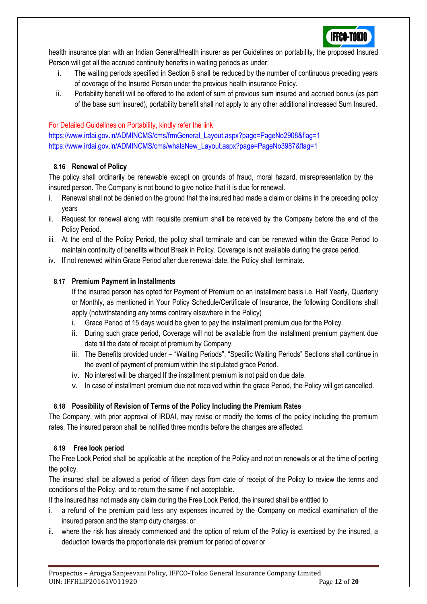

health insurance plan with an Indian General/Health insurer as per Guidelines on portability, the proposed Insured Person will get all the accrued continuity benefits in waiting periods as under:

- i. The waiting periods specified in Section 6 shall be reduced by the number of continuous preceding years of coverage of the Insured Person under the previous health insurance Policy.
- ii. Portability benefit will be offered to the extent of sum of previous sum insured and accrued bonus (as part of the base sum insured), portability benefit shall not apply to any other additional increased Sum Insured.

# For Detailed Guidelines on Portability, kindly refer the link

[https://www.irdai.gov.in/ADMINCMS/cms/frmGeneral\\_Layout.aspx?page=PageNo2908&flag=1](https://www.irdai.gov.in/ADMINCMS/cms/frmGeneral_Layout.aspx?page=PageNo2908&flag=1) [https://www.irdai.gov.in/ADMINCMS/cms/whatsNew\\_Layout.aspx?page=PageNo3987&flag=1](https://www.irdai.gov.in/ADMINCMS/cms/whatsNew_Layout.aspx?page=PageNo3987&flag=1)

# **8.16 Renewal of Policy**

The policy shall ordinarily be renewable except on grounds of fraud, moral hazard, misrepresentation by the insured person. The Company is not bound to give notice that it is due for renewal.

- i. Renewal shall not be denied on the ground that the insured had made a claim or claims in the preceding policy years
- ii. Request for renewal along with requisite premium shall be received by the Company before the end of the Policy Period.
- iii. At the end of the Policy Period, the policy shall terminate and can be renewed within the Grace Period to maintain continuity of benefits without Break in Policy. Coverage is not available during the grace period.
- iv. If not renewed within Grace Period after due renewal date, the Policy shall terminate.

# **8.17 Premium Payment in Installments**

If the insured person has opted for Payment of Premium on an installment basis i.e. Half Yearly, Quarterly or Monthly, as mentioned in Your Policy Schedule/Certificate of Insurance, the following Conditions shall apply (notwithstanding any terms contrary elsewhere in the Policy)

- i. Grace Period of 15 days would be given to pay the installment premium due for the Policy.
- ii. During such grace period, Coverage will not be available from the installment premium payment due date till the date of receipt of premium by Company.
- iii. The Benefits provided under "Waiting Periods", "Specific Waiting Periods" Sections shall continue in the event of payment of premium within the stipulated grace Period.
- iv. No interest will be charged If the installment premium is not paid on due date.
- v. In case of installment premium due not received within the grace Period, the Policy will get cancelled.

# **8.18 Possibility of Revision of Terms of the Policy Including the Premium Rates**

The Company, with prior approval of IRDAI, may revise or modify the terms of the policy including the premium rates. The insured person shall be notified three months before the changes are affected.

# **8.19 Free look period**

The Free Look Period shall be applicable at the inception of the Policy and not on renewals or at the time of porting the policy.

The insured shall be allowed a period of fifteen days from date of receipt of the Policy to review the terms and conditions of the Policy, and to return the same if not acceptable.

If the insured has not made any claim during the Free Look Period, the insured shall be entitled to

- i. a refund of the premium paid less any expenses incurred by the Company on medical examination of the insured person and the stamp duty charges; or
- ii. where the risk has already commenced and the option of return of the Policy is exercised by the insured, a deduction towards the proportionate risk premium for period of cover or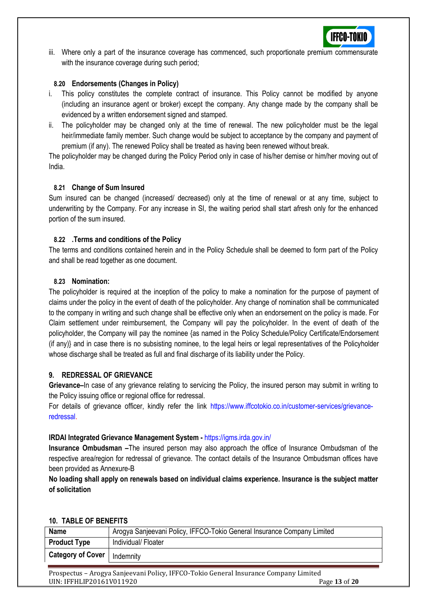

iii. Where only a part of the insurance coverage has commenced, such proportionate premium commensurate with the insurance coverage during such period;

#### **8.20 Endorsements (Changes in Policy)**

- i. This policy constitutes the complete contract of insurance. This Policy cannot be modified by anyone (including an insurance agent or broker) except the company. Any change made by the company shall be evidenced by a written endorsement signed and stamped.
- ii. The policyholder may be changed only at the time of renewal. The new policyholder must be the legal heir/immediate family member. Such change would be subject to acceptance by the company and payment of premium (if any). The renewed Policy shall be treated as having been renewed without break.

The policyholder may be changed during the Policy Period only in case of his/her demise or him/her moving out of India.

#### **8.21 Change of Sum Insured**

Sum insured can be changed (increased/ decreased) only at the time of renewal or at any time, subject to underwriting by the Company. For any increase in SI, the waiting period shall start afresh only for the enhanced portion of the sum insured.

#### **8.22 .Terms and conditions of the Policy**

The terms and conditions contained herein and in the Policy Schedule shall be deemed to form part of the Policy and shall be read together as one document.

#### **8.23 Nomination:**

The policyholder is required at the inception of the policy to make a nomination for the purpose of payment of claims under the policy in the event of death of the policyholder. Any change of nomination shall be communicated to the company in writing and such change shall be effective only when an endorsement on the policy is made. For Claim settlement under reimbursement, the Company will pay the policyholder. In the event of death of the policyholder, the Company will pay the nominee {as named in the Policy Schedule/Policy Certificate/Endorsement (if any)} and in case there is no subsisting nominee, to the legal heirs or legal representatives of the Policyholder whose discharge shall be treated as full and final discharge of its liability under the Policy.

# **9. REDRESSAL OF GRIEVANCE**

**Grievance–**In case of any grievance relating to servicing the Policy, the insured person may submit in writing to the Policy issuing office or regional office for redressal.

For details of grievance officer, kindly refer the link [https://www.iffcotokio.co.in/customer-services/grievance](https://www.iffcotokio.co.in/customer-services/grievance-redressal)[redressal.](https://www.iffcotokio.co.in/customer-services/grievance-redressal)

#### **IRDAI Integrated Grievance Management System -** <https://igms.irda.gov.in/>

**Insurance Ombudsman –**The insured person may also approach the office of Insurance Ombudsman of the respective area/region for redressal of grievance. The contact details of the Insurance Ombudsman offices have been provided as Annexure-B

**No loading shall apply on renewals based on individual claims experience. Insurance is the subject matter of solicitation**

#### **10. TABLE OF BENEFITS**

| Arogya Sanjeevani Policy, IFFCO-Tokio General Insurance Company Limited<br><b>Name</b> |                    |  |  |  |  |  |  |  |
|----------------------------------------------------------------------------------------|--------------------|--|--|--|--|--|--|--|
| <b>Product Type</b>                                                                    | Individual/Floater |  |  |  |  |  |  |  |
| <b>Category of Cover</b><br>Indemnity                                                  |                    |  |  |  |  |  |  |  |
|                                                                                        |                    |  |  |  |  |  |  |  |
| Prospectus – Arogya Sanjeevani Policy, IFFCO-Tokio General Insurance Company Limited   |                    |  |  |  |  |  |  |  |
| UIN: IFFHLIP20161V011920<br>Page 13 of 20                                              |                    |  |  |  |  |  |  |  |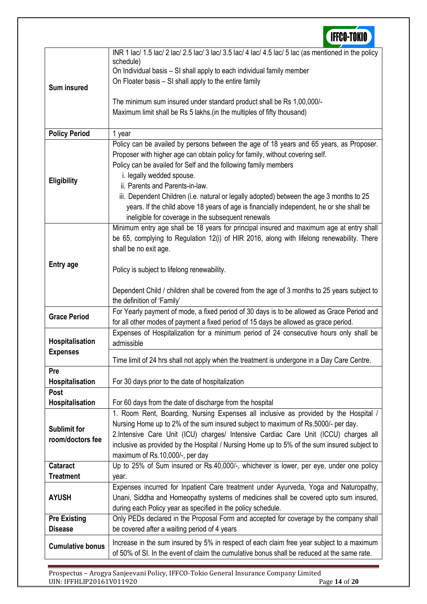

Prospectus – Arogya Sanjeevani Policy, IFFCO-Tokio General Insurance Company Limited UIN: IFFHLIP20161V011920 Page **14** of **20**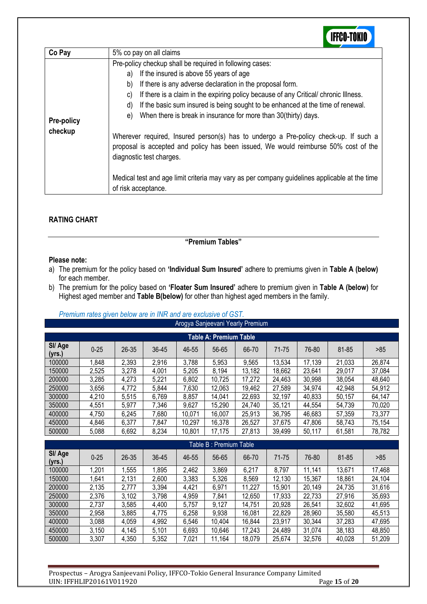# **IFFCO-TOKIO**

| Pre-policy checkup shall be required in following cases:<br>If the insured is above 55 years of age<br>a)<br>If there is any adverse declaration in the proposal form.<br>b)<br>If there is a claim in the expiring policy because of any Critical/ chronic Illness.<br>C)<br>If the basic sum insured is being sought to be enhanced at the time of renewal.<br>d)<br>When there is break in insurance for more than 30(thirty) days.<br>e)<br><b>Pre-policy</b><br>checkup<br>Wherever required, Insured person(s) has to undergo a Pre-policy check-up. If such a<br>proposal is accepted and policy has been issued, We would reimburse 50% cost of the | Co Pay | 5% co pay on all claims  |
|-------------------------------------------------------------------------------------------------------------------------------------------------------------------------------------------------------------------------------------------------------------------------------------------------------------------------------------------------------------------------------------------------------------------------------------------------------------------------------------------------------------------------------------------------------------------------------------------------------------------------------------------------------------|--------|--------------------------|
| Medical test and age limit criteria may vary as per company guidelines applicable at the time<br>of risk acceptance.                                                                                                                                                                                                                                                                                                                                                                                                                                                                                                                                        |        | diagnostic test charges. |

# **RATING CHART**

**"Premium Tables"**

# **Please note:**

- a) The premium for the policy based on **'Individual Sum Insured'** adhere to premiums given in **Table A (below)** for each member.
- b) The premium for the policy based on **'Floater Sum Insured'** adhere to premium given in **Table A (below)** for Highest aged member and **Table B(below)** for other than highest aged members in the family.

|                        | Arogya Sanjeevani Yearly Premium |           |       |        |        |        |        |        |        |        |  |
|------------------------|----------------------------------|-----------|-------|--------|--------|--------|--------|--------|--------|--------|--|
| Table A: Premium Table |                                  |           |       |        |        |        |        |        |        |        |  |
| SI/Age<br>(yrs.)       | $0 - 25$                         | $26 - 35$ | 36-45 | 46-55  | 56-65  | 66-70  | 71-75  | 76-80  | 81-85  | >85    |  |
| 100000                 | 1,848                            | 2,393     | 2,916 | 3,788  | 5,953  | 9,565  | 13,534 | 17,139 | 21,033 | 26,874 |  |
| 150000                 | 2,525                            | 3,278     | 4,001 | 5,205  | 8,194  | 13,182 | 18,662 | 23,641 | 29,017 | 37,084 |  |
| 200000                 | 3,285                            | 4,273     | 5,221 | 6,802  | 10,725 | 17,272 | 24,463 | 30,998 | 38,054 | 48,640 |  |
| 250000                 | 3,656                            | 4,772     | 5,844 | 7,630  | 12,063 | 19,462 | 27,589 | 34,974 | 42,948 | 54,912 |  |
| 300000                 | 4,210                            | 5,515     | 6,769 | 8,857  | 14,041 | 22,693 | 32,197 | 40,833 | 50.157 | 64,147 |  |
| 350000                 | 4,551                            | 5,977     | 7,346 | 9,627  | 15,290 | 24,740 | 35,121 | 44,554 | 54,739 | 70,020 |  |
| 400000                 | 4,750                            | 6,245     | 7,680 | 10,071 | 16,007 | 25,913 | 36,795 | 46,683 | 57,359 | 73,377 |  |
| 450000                 | 4,846                            | 6,377     | 7,847 | 10,297 | 16,378 | 26,527 | 37,675 | 47,806 | 58.743 | 75.154 |  |
| 500000                 | 5,088                            | 6,692     | 8,234 | 10,801 | 17,175 | 27,813 | 39,499 | 50,117 | 61,581 | 78,782 |  |
|                        |                                  |           |       |        |        |        |        |        |        |        |  |

| Premium rates given below are in INR and are exclusive of GST. |  |
|----------------------------------------------------------------|--|
|----------------------------------------------------------------|--|

| Table B : Premium Table |          |           |       |       |        |        |        |        |        |        |
|-------------------------|----------|-----------|-------|-------|--------|--------|--------|--------|--------|--------|
| SI/ Age<br>(yrs.)       | $0 - 25$ | $26 - 35$ | 36-45 | 46-55 | 56-65  | 66-70  | 71-75  | 76-80  | 81-85  | >85    |
| 100000                  | 1,201    | .555      | 1,895 | 2,462 | 3,869  | 6,217  | 8,797  | 11,141 | 13,671 | 17,468 |
| 150000                  | 1,641    | 2,131     | 2,600 | 3,383 | 5,326  | 8,569  | 12,130 | 15,367 | 18,861 | 24,104 |
| 200000                  | 2,135    | 2,777     | 3,394 | 4,421 | 6,971  | 11,227 | 15,901 | 20,149 | 24,735 | 31,616 |
| 250000                  | 2,376    | 3,102     | 3,798 | 4,959 | 7,841  | 12,650 | 17,933 | 22,733 | 27,916 | 35,693 |
| 300000                  | 2,737    | 3,585     | 4,400 | 5,757 | 9,127  | 14,751 | 20,928 | 26,541 | 32,602 | 41,695 |
| 350000                  | 2,958    | 3,885     | 4,775 | 6,258 | 9,938  | 16.081 | 22,829 | 28,960 | 35,580 | 45,513 |
| 400000                  | 3,088    | 4,059     | 4,992 | 6,546 | 10,404 | 16,844 | 23,917 | 30,344 | 37,283 | 47,695 |
| 450000                  | 3,150    | 4,145     | 5,101 | 6,693 | 10,646 | 17,243 | 24,489 | 31,074 | 38,183 | 48,850 |
| 500000                  | 3,307    | 4,350     | 5,352 | 7,021 | 11,164 | 18,079 | 25,674 | 32,576 | 40,028 | 51,209 |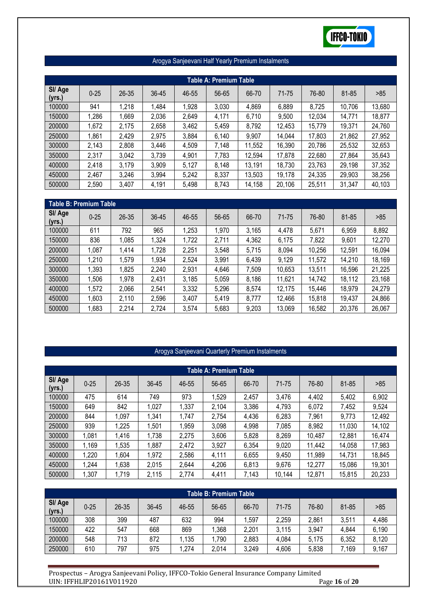

| Arogya Sanjeevani Half Yearly Premium Instalments |  |
|---------------------------------------------------|--|
|---------------------------------------------------|--|

| <b>Table A: Premium Table</b> |          |           |       |       |       |        |        |        |        |        |
|-------------------------------|----------|-----------|-------|-------|-------|--------|--------|--------|--------|--------|
| SI/ Age<br>(yrs.)             | $0 - 25$ | $26 - 35$ | 36-45 | 46-55 | 56-65 | 66-70  | 71-75  | 76-80  | 81-85  | >85    |
| 100000                        | 941      | 1,218     | 1,484 | 1,928 | 3,030 | 4,869  | 6,889  | 8,725  | 10,706 | 13,680 |
| 150000                        | 1,286    | 1,669     | 2,036 | 2,649 | 4,171 | 6,710  | 9,500  | 12,034 | 14,771 | 18,877 |
| 200000                        | 1,672    | 2,175     | 2,658 | 3,462 | 5,459 | 8,792  | 12,453 | 15,779 | 19,371 | 24,760 |
| 250000                        | 1,861    | 2,429     | 2,975 | 3,884 | 6,140 | 9,907  | 14,044 | 17,803 | 21,862 | 27,952 |
| 300000                        | 2,143    | 2,808     | 3,446 | 4,509 | 7,148 | 11,552 | 16,390 | 20,786 | 25,532 | 32,653 |
| 350000                        | 2,317    | 3,042     | 3,739 | 4,901 | 7,783 | 12,594 | 17,878 | 22,680 | 27,864 | 35,643 |
| 400000                        | 2,418    | 3,179     | 3,909 | 5,127 | 8,148 | 13,191 | 18,730 | 23,763 | 29,198 | 37,352 |
| 450000                        | 2,467    | 3,246     | 3,994 | 5,242 | 8,337 | 13,503 | 19,178 | 24,335 | 29,903 | 38,256 |
| 500000                        | 2,590    | 3,407     | 4,191 | 5,498 | 8,743 | 14,158 | 20,106 | 25,511 | 31,347 | 40,103 |

| Table B: Premium Table |          |       |       |       |       |       |        |        |        |        |
|------------------------|----------|-------|-------|-------|-------|-------|--------|--------|--------|--------|
| SI/ Age<br>(yrs.)      | $0 - 25$ | 26-35 | 36-45 | 46-55 | 56-65 | 66-70 | 71-75  | 76-80  | 81-85  | >85    |
| 100000                 | 611      | 792   | 965   | 1,253 | 1,970 | 3,165 | 4,478  | 5,671  | 6,959  | 8,892  |
| 150000                 | 836      | 1,085 | 1,324 | 1,722 | 2,711 | 4,362 | 6,175  | 7,822  | 9,601  | 12,270 |
| 200000                 | 1,087    | 1,414 | 1,728 | 2,251 | 3,548 | 5,715 | 8,094  | 10,256 | 12,591 | 16,094 |
| 250000                 | 1,210    | 1,579 | 1,934 | 2,524 | 3,991 | 6,439 | 9,129  | 11,572 | 14,210 | 18,169 |
| 300000                 | 1,393    | 1,825 | 2,240 | 2,931 | 4,646 | 7,509 | 10,653 | 13,511 | 16,596 | 21,225 |
| 350000                 | 1,506    | 1,978 | 2,431 | 3,185 | 5,059 | 8,186 | 11,621 | 14,742 | 18,112 | 23,168 |
| 400000                 | 1,572    | 2,066 | 2,541 | 3,332 | 5,296 | 8,574 | 12,175 | 15,446 | 18,979 | 24,279 |
| 450000                 | 1.603    | 2,110 | 2,596 | 3,407 | 5,419 | 8,777 | 12,466 | 15,818 | 19,437 | 24,866 |
| 500000                 | ,683     | 2,214 | 2,724 | 3,574 | 5,683 | 9,203 | 13,069 | 16,582 | 20,376 | 26,067 |

# Arogya Sanjeevani Quarterly Premium Instalments

| Table A: Premium Table |          |           |       |       |       |       |        |        |        |        |  |
|------------------------|----------|-----------|-------|-------|-------|-------|--------|--------|--------|--------|--|
| SI/ Age<br>(yrs.)      | $0 - 25$ | $26 - 35$ | 36-45 | 46-55 | 56-65 | 66-70 | 71-75  | 76-80  | 81-85  | >85    |  |
| 100000                 | 475      | 614       | 749   | 973   | 1,529 | 2,457 | 3,476  | 4,402  | 5,402  | 6,902  |  |
| 150000                 | 649      | 842       | 1,027 | 1,337 | 2,104 | 3,386 | 4,793  | 6,072  | 7,452  | 9,524  |  |
| 200000                 | 844      | 1,097     | 1,341 | 1,747 | 2,754 | 4,436 | 6,283  | 7.961  | 9,773  | 12,492 |  |
| 250000                 | 939      | 1,225     | 1,501 | 1,959 | 3,098 | 4,998 | 7,085  | 8,982  | 11,030 | 14,102 |  |
| 300000                 | 1,081    | 1,416     | 1,738 | 2,275 | 3,606 | 5,828 | 8,269  | 10,487 | 12,881 | 16,474 |  |
| 350000                 | .169     | 1,535     | 1,887 | 2,472 | 3,927 | 6,354 | 9,020  | 11,442 | 14,058 | 17,983 |  |
| 400000                 | ,220     | 1,604     | 1,972 | 2,586 | 4,111 | 6,655 | 9,450  | 11,989 | 14,731 | 18,845 |  |
| 450000                 | .244     | 1,638     | 2,015 | 2,644 | 4,206 | 6,813 | 9,676  | 12,277 | 15,086 | 19,301 |  |
| 500000                 | ,307     | 1,719     | 2,115 | 2,774 | 4,411 | 7,143 | 10,144 | 12,871 | 15,815 | 20,233 |  |

| Table B: Premium Table |          |       |       |       |       |       |       |       |       |       |  |
|------------------------|----------|-------|-------|-------|-------|-------|-------|-------|-------|-------|--|
| SI/ Age<br>(yrs.)      | $0 - 25$ | 26-35 | 36-45 | 46-55 | 56-65 | 66-70 | 71-75 | 76-80 | 81-85 | >85   |  |
| 100000                 | 308      | 399   | 487   | 632   | 994   | .597  | 2,259 | 2,861 | 3,511 | 4,486 |  |
| 150000                 | 422      | 547   | 668   | 869   | .368  | 2,201 | 3,115 | 3,947 | 4,844 | 6,190 |  |
| 200000                 | 548      | 713   | 872   | 1,135 | ,790  | 2,883 | 4,084 | 5.175 | 6,352 | 8,120 |  |
| 250000                 | 610      | 797   | 975   | 1,274 | 2,014 | 3,249 | 4,606 | 5,838 | 7.169 | 9,167 |  |

Prospectus – Arogya Sanjeevani Policy, IFFCO-Tokio General Insurance Company Limited UIN: IFFHLIP20161V011920 Page **16** of **20**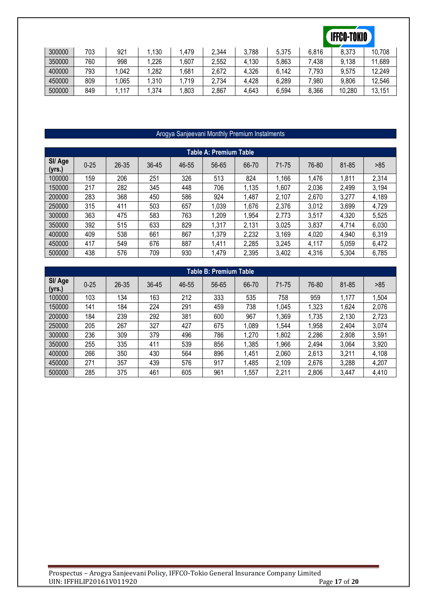# **IFFCO-TOKIO**

| 300000 | 703 | 921  | 130  | .479 | 2,344 | 3,788 | 5.375 | 6,816            | 8,373  | 10,708 |
|--------|-----|------|------|------|-------|-------|-------|------------------|--------|--------|
| 350000 | 760 | 998  | ,226 | .607 | 2,552 | 4,130 | 5,863 | $^{\prime}$ .438 | 9,138  | ,689   |
| 400000 | 793 | .042 | .282 | .681 | 2,672 | 4,326 | 6,142 | .793             | 9,575  | 12,249 |
| 450000 | 809 | .065 | .310 | 719، | 2,734 | 4,428 | 6,289 | 0.980            | 9,806  | 12,546 |
| 500000 | 849 | ,117 | .374 | ,803 | 2,867 | 4,643 | 6,594 | 8,366            | 10,280 | 13,151 |

# Arogya Sanjeevani Monthly Premium Instalments

| Table A: Premium Table |          |       |       |       |       |       |       |       |       |       |  |
|------------------------|----------|-------|-------|-------|-------|-------|-------|-------|-------|-------|--|
| SI/ Age<br>(yrs.)      | $0 - 25$ | 26-35 | 36-45 | 46-55 | 56-65 | 66-70 | 71-75 | 76-80 | 81-85 | >85   |  |
| 100000                 | 159      | 206   | 251   | 326   | 513   | 824   | 1,166 | 1,476 | 1,811 | 2,314 |  |
| 150000                 | 217      | 282   | 345   | 448   | 706   | 1,135 | 1,607 | 2,036 | 2,499 | 3,194 |  |
| 200000                 | 283      | 368   | 450   | 586   | 924   | ,487  | 2,107 | 2,670 | 3,277 | 4,189 |  |
| 250000                 | 315      | 411   | 503   | 657   | 1,039 | .676  | 2,376 | 3,012 | 3,699 | 4,729 |  |
| 300000                 | 363      | 475   | 583   | 763   | 1,209 | .954  | 2,773 | 3,517 | 4,320 | 5,525 |  |
| 350000                 | 392      | 515   | 633   | 829   | 1,317 | 2,131 | 3,025 | 3,837 | 4,714 | 6,030 |  |
| 400000                 | 409      | 538   | 661   | 867   | 1,379 | 2,232 | 3,169 | 4,020 | 4,940 | 6,319 |  |
| 450000                 | 417      | 549   | 676   | 887   | 1,411 | 2,285 | 3,245 | 4,117 | 5,059 | 6,472 |  |
| 500000                 | 438      | 576   | 709   | 930   | 1,479 | 2,395 | 3,402 | 4,316 | 5,304 | 6,785 |  |

| Table B: Premium Table |          |           |       |       |       |       |       |       |       |       |  |
|------------------------|----------|-----------|-------|-------|-------|-------|-------|-------|-------|-------|--|
| SI/ Age<br>(vrs.)      | $0 - 25$ | $26 - 35$ | 36-45 | 46-55 | 56-65 | 66-70 | 71-75 | 76-80 | 81-85 | >85   |  |
| 100000                 | 103      | 134       | 163   | 212   | 333   | 535   | 758   | 959   | 1.177 | ,504  |  |
| 150000                 | 141      | 184       | 224   | 291   | 459   | 738   | 1,045 | 1,323 | 1,624 | 2,076 |  |
| 200000                 | 184      | 239       | 292   | 381   | 600   | 967   | 1,369 | 1,735 | 2,130 | 2,723 |  |
| 250000                 | 205      | 267       | 327   | 427   | 675   | ,089  | 1,544 | .958  | 2,404 | 3,074 |  |
| 300000                 | 236      | 309       | 379   | 496   | 786   | ,270  | 1,802 | 2,286 | 2,808 | 3,591 |  |
| 350000                 | 255      | 335       | 411   | 539   | 856   | ,385  | 1,966 | 2,494 | 3,064 | 3,920 |  |
| 400000                 | 266      | 350       | 430   | 564   | 896   | .451  | 2,060 | 2,613 | 3,211 | 4,108 |  |
| 450000                 | 271      | 357       | 439   | 576   | 917   | .485  | 2,109 | 2,676 | 3,288 | 4,207 |  |
| 500000                 | 285      | 375       | 461   | 605   | 961   | .557  | 2,211 | 2,806 | 3,447 | 4,410 |  |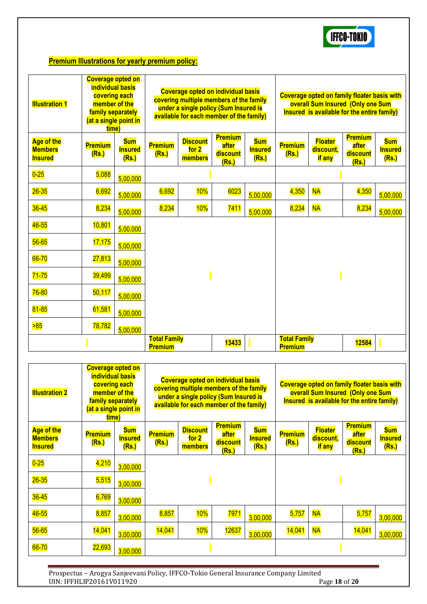

# **Premium Illustrations for yearly premium policy:**

| <b>Illustration 1</b>                                 | <b>Coverage opted on</b><br><b>individual basis</b><br>covering each<br>member of the<br>family separately<br>(at a single point in<br>time) |                                       | <b>Coverage opted on individual basis</b><br>covering multiple members of the family<br>under a single policy (Sum Insured is<br>available for each member of the family) |                                     |                                              |                                       | <b>Coverage opted on family floater basis with</b><br>overall Sum Insured (Only one Sum<br>Insured is available for the entire family) |                                       |                                              |                                       |
|-------------------------------------------------------|----------------------------------------------------------------------------------------------------------------------------------------------|---------------------------------------|---------------------------------------------------------------------------------------------------------------------------------------------------------------------------|-------------------------------------|----------------------------------------------|---------------------------------------|----------------------------------------------------------------------------------------------------------------------------------------|---------------------------------------|----------------------------------------------|---------------------------------------|
| <b>Age of the</b><br><b>Members</b><br><b>Insured</b> | <b>Premium</b><br>(Rs.)                                                                                                                      | <b>Sum</b><br><b>Insured</b><br>(Rs.) | <b>Premium</b><br>(Rs.)                                                                                                                                                   | <b>Discount</b><br>for 2<br>members | <b>Premium</b><br>after<br>discount<br>(Rs.) | <b>Sum</b><br><b>Insured</b><br>(Rs.) | <b>Premium</b><br>(Rs.)                                                                                                                | <b>Floater</b><br>discount,<br>if any | <b>Premium</b><br>after<br>discount<br>(Rs.) | <b>Sum</b><br><b>Insured</b><br>(Rs.) |
| $0-25$                                                | 5,088                                                                                                                                        | 5,00,000                              |                                                                                                                                                                           |                                     |                                              |                                       |                                                                                                                                        |                                       |                                              |                                       |
| $26 - 35$                                             | 6,692                                                                                                                                        | 5,00,000                              | 6,692                                                                                                                                                                     | 10%                                 | 6023                                         | 5,00,000                              | 4,350                                                                                                                                  | <b>NA</b>                             | 4,350                                        | 5,00,000                              |
| $36 - 45$                                             | 8,234                                                                                                                                        | 5,00,000                              | 8,234                                                                                                                                                                     | 10%                                 | 7411                                         | 5,00,000                              | 8,234                                                                                                                                  | <b>NA</b>                             | 8,234                                        | 5,00,000                              |
| 46-55                                                 | 10,801                                                                                                                                       | 5,00,000                              |                                                                                                                                                                           |                                     |                                              |                                       |                                                                                                                                        |                                       |                                              |                                       |
| $56 - 65$                                             | 17,175                                                                                                                                       | 5,00,000                              |                                                                                                                                                                           |                                     |                                              |                                       |                                                                                                                                        |                                       |                                              |                                       |
| 66-70                                                 | 27,813                                                                                                                                       | 5,00,000                              |                                                                                                                                                                           |                                     |                                              |                                       |                                                                                                                                        |                                       |                                              |                                       |
| $71 - 75$                                             | 39,499                                                                                                                                       | 5,00,000                              |                                                                                                                                                                           |                                     |                                              |                                       |                                                                                                                                        |                                       |                                              |                                       |
| 76-80                                                 | 50,117                                                                                                                                       | 5,00,000                              |                                                                                                                                                                           |                                     |                                              |                                       |                                                                                                                                        |                                       |                                              |                                       |
| $81 - 85$                                             | 61,581                                                                                                                                       | 5,00,000                              |                                                                                                                                                                           |                                     |                                              |                                       |                                                                                                                                        |                                       |                                              |                                       |
| 585                                                   | 78,782                                                                                                                                       | 5,00,000                              |                                                                                                                                                                           |                                     |                                              |                                       |                                                                                                                                        |                                       |                                              |                                       |
|                                                       |                                                                                                                                              |                                       | <b>Total Family</b><br><b>Premium</b>                                                                                                                                     |                                     | 13433                                        |                                       | <b>Total Family</b><br><b>Premium</b>                                                                                                  |                                       | 12584                                        |                                       |

| <b>Illustration 2</b>                          | <b>Coverage opted on</b><br><b>individual basis</b><br>covering each<br>member of the<br>family separately<br>(at a single point in<br>time) |                                       | <b>Coverage opted on individual basis</b><br>covering multiple members of the family<br>under a single policy (Sum Insured is<br>available for each member of the family) |                                     |                                              |                                       | Coverage opted on family floater basis with<br>overall Sum Insured (Only one Sum<br>Insured is available for the entire family) |                                                    |                                              |                                       |
|------------------------------------------------|----------------------------------------------------------------------------------------------------------------------------------------------|---------------------------------------|---------------------------------------------------------------------------------------------------------------------------------------------------------------------------|-------------------------------------|----------------------------------------------|---------------------------------------|---------------------------------------------------------------------------------------------------------------------------------|----------------------------------------------------|----------------------------------------------|---------------------------------------|
| Age of the<br><b>Members</b><br><b>Insured</b> | <b>Premium</b><br>(Rs.)                                                                                                                      | <b>Sum</b><br><b>Insured</b><br>(Rs.) | <b>Premium</b><br>(Rs.)                                                                                                                                                   | <b>Discount</b><br>for 2<br>members | <b>Premium</b><br>after<br>discount<br>(Rs.) | <b>Sum</b><br><b>Insured</b><br>(Rs.) | <b>Premium</b><br>(Rs.)                                                                                                         | <b>Floater</b><br>discount,<br><mark>if any</mark> | <b>Premium</b><br>after<br>discount<br>(Rs.) | <b>Sum</b><br><b>Insured</b><br>(Rs.) |
| $0-25$                                         | 4,210                                                                                                                                        | 3,00,000                              |                                                                                                                                                                           |                                     |                                              |                                       |                                                                                                                                 |                                                    |                                              |                                       |
| $26 - 35$                                      | 5,515                                                                                                                                        | 3,00,000                              |                                                                                                                                                                           |                                     |                                              |                                       |                                                                                                                                 |                                                    |                                              |                                       |
| $36 - 45$                                      | 6,769                                                                                                                                        | 3,00,000                              |                                                                                                                                                                           |                                     |                                              |                                       |                                                                                                                                 |                                                    |                                              |                                       |
| 46-55                                          | 8,857                                                                                                                                        | 3,00,000                              | 8,857                                                                                                                                                                     | 10%                                 | <mark>7971</mark>                            | 3,00,000                              | 5,757                                                                                                                           | <b>NA</b>                                          | 5,757                                        | 3,00,000                              |
| $56 - 65$                                      | 14,041                                                                                                                                       | 3,00,000                              | 14,041                                                                                                                                                                    | 10%                                 | 12637                                        | 3,00,000                              | 14,041                                                                                                                          | <b>NA</b>                                          | 14,041                                       | 3.00.000                              |
| 66-70                                          | 22,693                                                                                                                                       | 3,00,000                              |                                                                                                                                                                           |                                     |                                              |                                       |                                                                                                                                 |                                                    |                                              |                                       |

Prospectus – Arogya Sanjeevani Policy, IFFCO-Tokio General Insurance Company Limited UIN: IFFHLIP20161V011920 Page **18** of **20**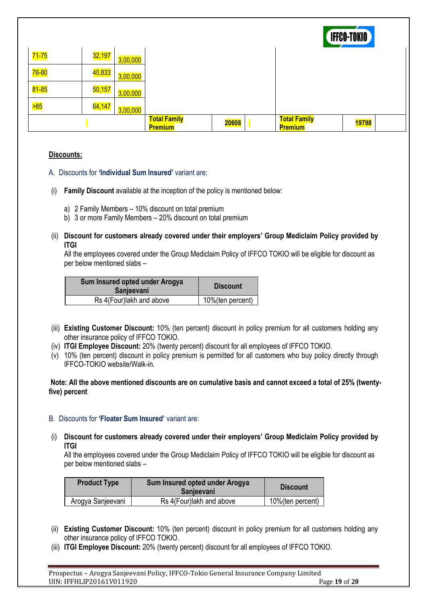|                    |        |          |                                       |       |                                       | <b>IFFCO-TOKIO</b> |  |
|--------------------|--------|----------|---------------------------------------|-------|---------------------------------------|--------------------|--|
| <mark>71-75</mark> | 32,197 | 3,00,000 |                                       |       |                                       |                    |  |
| $76 - 80$          | 40,833 | 3,00,000 |                                       |       |                                       |                    |  |
| <mark>81-85</mark> | 50,157 | 3,00,000 |                                       |       |                                       |                    |  |
| 585                | 64,147 | 3,00,000 |                                       |       |                                       |                    |  |
|                    |        |          | <b>Total Family</b><br><b>Premium</b> | 20608 | <b>Total Family</b><br><b>Premium</b> | 19798              |  |

# **Discounts:**

- A. Discounts for **'Individual Sum Insured'** variant are:
- (i) **Family Discount** available at the inception of the policy is mentioned below:
	- a) 2 Family Members 10% discount on total premium
	- b) 3 or more Family Members 20% discount on total premium
- (ii) **Discount for customers already covered under their employers' Group Mediclaim Policy provided by ITGI**

All the employees covered under the Group Mediclaim Policy of IFFCO TOKIO will be eligible for discount as per below mentioned slabs –

| Sum Insured opted under Arogya<br>Sanjeevani | <b>Discount</b>  |
|----------------------------------------------|------------------|
| Rs 4(Four)lakh and above                     | 10%(ten percent) |

- (iii) **Existing Customer Discount:** 10% (ten percent) discount in policy premium for all customers holding any other insurance policy of IFFCO TOKIO.
- (iv) **ITGI Employee Discount:** 20% (twenty percent) discount for all employees of IFFCO TOKIO.
- (v) 10% (ten percent) discount in policy premium is permitted for all customers who buy policy directly through IFFCO-TOKIO website/Walk-in.

#### **Note: All the above mentioned discounts are on cumulative basis and cannot exceed a total of 25% (twentyfive) percent**

#### B. Discounts for **'Floater Sum Insured'** variant are:

(i) **Discount for customers already covered under their employers' Group Mediclaim Policy provided by ITGI**

All the employees covered under the Group Mediclaim Policy of IFFCO TOKIO will be eligible for discount as per below mentioned slabs –

| <b>Product Type</b> | Sum Insured opted under Arogya<br><b>Sanjeevani</b> | <b>Discount</b>   |  |  |
|---------------------|-----------------------------------------------------|-------------------|--|--|
| Arogya Sanjeevani   | Rs 4(Four) lakh and above                           | 10% (ten percent) |  |  |

- (ii) **Existing Customer Discount:** 10% (ten percent) discount in policy premium for all customers holding any other insurance policy of IFFCO TOKIO.
- (iii) **ITGI Employee Discount:** 20% (twenty percent) discount for all employees of IFFCO TOKIO.